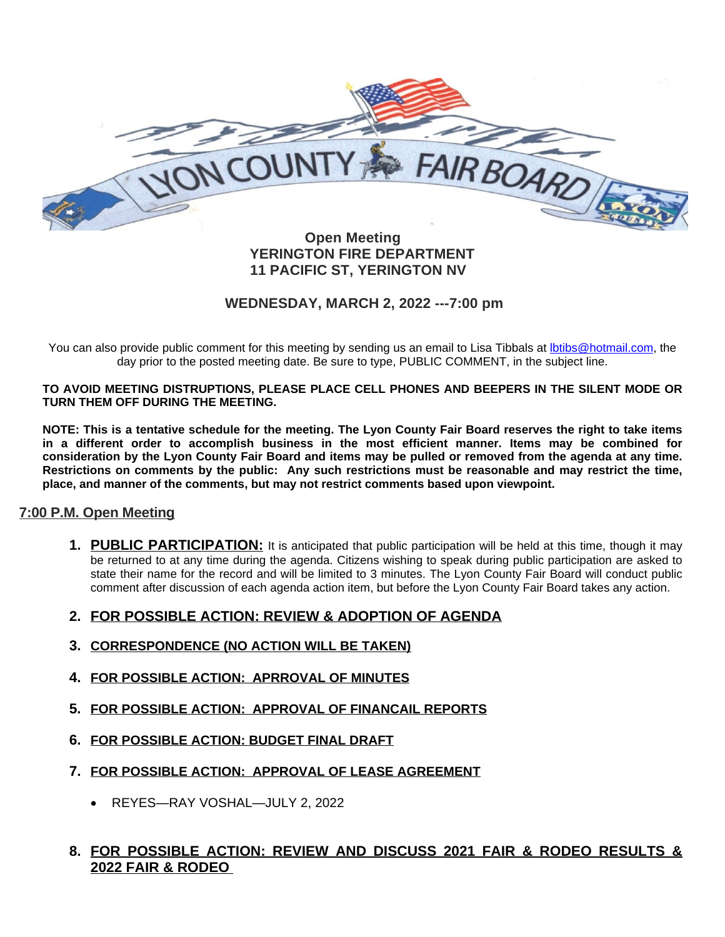

#### **Open Meeting YERINGTON FIRE DEPARTMENT 11 PACIFIC ST, YERINGTON NV**

## **WEDNESDAY, MARCH 2, 2022 ---7:00 pm**

You can also provide public comment for this meeting by sending us an email to Lisa Tibbals at *Ibtibs@hotmail.com*, the day prior to the posted meeting date. Be sure to type, PUBLIC COMMENT, in the subject line.

**TO AVOID MEETING DISTRUPTIONS, PLEASE PLACE CELL PHONES AND BEEPERS IN THE SILENT MODE OR TURN THEM OFF DURING THE MEETING.**

NOTE: This is a tentative schedule for the meeting. The Lyon County Fair Board reserves the right to take items **in a different order to accomplish business in the most efficient manner. Items may be combined for** consideration by the Lyon County Fair Board and items may be pulled or removed from the agenda at any time. Restrictions on comments by the public: Any such restrictions must be reasonable and may restrict the time, **place, and manner of the comments, but may not restrict comments based upon viewpoint.**

## **7:00 P.M. Open Meeting**

**1. PUBLIC PARTICIPATION:** It is anticipated that public participation will be held at this time, though it may be returned to at any time during the agenda. Citizens wishing to speak during public participation are asked to state their name for the record and will be limited to 3 minutes. The Lyon County Fair Board will conduct public comment after discussion of each agenda action item, but before the Lyon County Fair Board takes any action.

## **2. FOR POSSIBLE ACTION: REVIEW & ADOPTION OF AGENDA**

- **3. CORRESPONDENCE (NO ACTION WILL BE TAKEN)**
- **4. FOR POSSIBLE ACTION: APRROVAL OF MINUTES**
- **5. FOR POSSIBLE ACTION: APPROVAL OF FINANCAIL REPORTS**
- **6. FOR POSSIBLE ACTION: BUDGET FINAL DRAFT**
- **7. FOR POSSIBLE ACTION: APPROVAL OF LEASE AGREEMENT**
	- REYES—RAY VOSHAL—JULY 2, 2022

# **8. FOR POSSIBLE ACTION: REVIEW AND DISCUSS 2021 FAIR & RODEO RESULTS & 2022 FAIR & RODEO**